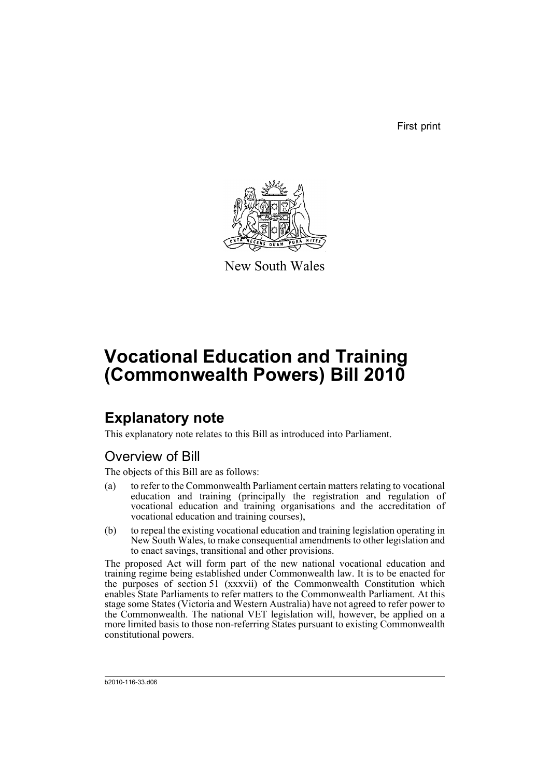First print



New South Wales

# **Vocational Education and Training (Commonwealth Powers) Bill 2010**

# **Explanatory note**

This explanatory note relates to this Bill as introduced into Parliament.

## Overview of Bill

The objects of this Bill are as follows:

- (a) to refer to the Commonwealth Parliament certain matters relating to vocational education and training (principally the registration and regulation of vocational education and training organisations and the accreditation of vocational education and training courses),
- (b) to repeal the existing vocational education and training legislation operating in New South Wales, to make consequential amendments to other legislation and to enact savings, transitional and other provisions.

The proposed Act will form part of the new national vocational education and training regime being established under Commonwealth law. It is to be enacted for the purposes of section 51 (xxxvii) of the Commonwealth Constitution which enables State Parliaments to refer matters to the Commonwealth Parliament. At this stage some States (Victoria and Western Australia) have not agreed to refer power to the Commonwealth. The national VET legislation will, however, be applied on a more limited basis to those non-referring States pursuant to existing Commonwealth constitutional powers.

b2010-116-33.d06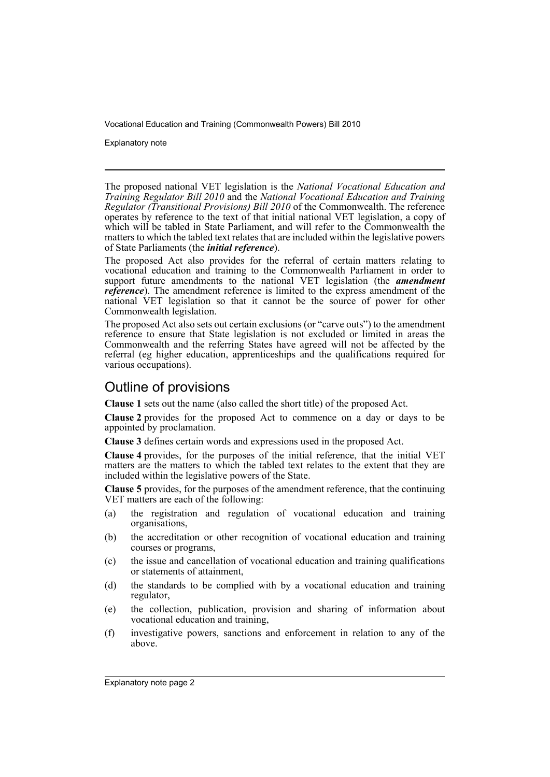Explanatory note

The proposed national VET legislation is the *National Vocational Education and Training Regulator Bill 2010* and the *National Vocational Education and Training Regulator (Transitional Provisions) Bill 2010* of the Commonwealth. The reference operates by reference to the text of that initial national VET legislation, a copy of which will be tabled in State Parliament, and will refer to the Commonwealth the matters to which the tabled text relates that are included within the legislative powers of State Parliaments (the *initial reference*).

The proposed Act also provides for the referral of certain matters relating to vocational education and training to the Commonwealth Parliament in order to support future amendments to the national VET legislation (the **amendment** *reference*). The amendment reference is limited to the express amendment of the national VET legislation so that it cannot be the source of power for other Commonwealth legislation.

The proposed Act also sets out certain exclusions (or "carve outs") to the amendment reference to ensure that State legislation is not excluded or limited in areas the Commonwealth and the referring States have agreed will not be affected by the referral (eg higher education, apprenticeships and the qualifications required for various occupations).

## Outline of provisions

**Clause 1** sets out the name (also called the short title) of the proposed Act.

**Clause 2** provides for the proposed Act to commence on a day or days to be appointed by proclamation.

**Clause 3** defines certain words and expressions used in the proposed Act.

**Clause 4** provides, for the purposes of the initial reference, that the initial VET matters are the matters to which the tabled text relates to the extent that they are included within the legislative powers of the State.

**Clause 5** provides, for the purposes of the amendment reference, that the continuing VET matters are each of the following:

- (a) the registration and regulation of vocational education and training organisations,
- (b) the accreditation or other recognition of vocational education and training courses or programs,
- (c) the issue and cancellation of vocational education and training qualifications or statements of attainment,
- (d) the standards to be complied with by a vocational education and training regulator,
- (e) the collection, publication, provision and sharing of information about vocational education and training,
- (f) investigative powers, sanctions and enforcement in relation to any of the above.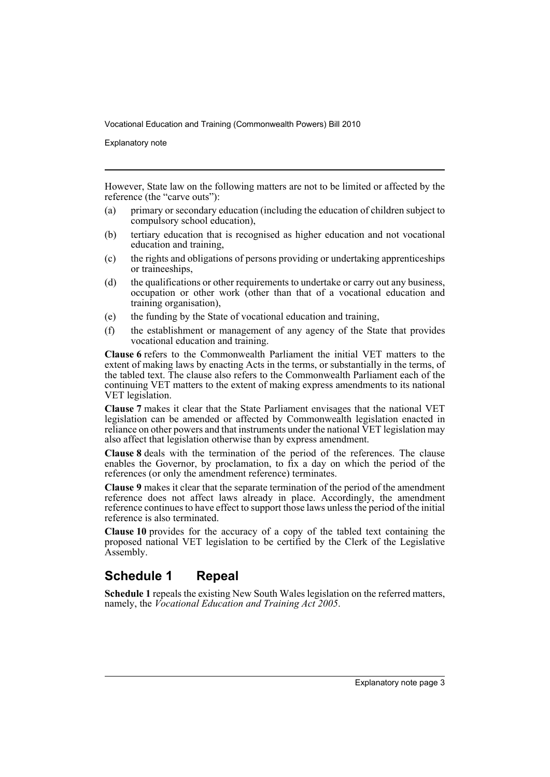Explanatory note

However, State law on the following matters are not to be limited or affected by the reference (the "carve outs"):

- (a) primary or secondary education (including the education of children subject to compulsory school education),
- (b) tertiary education that is recognised as higher education and not vocational education and training,
- (c) the rights and obligations of persons providing or undertaking apprenticeships or traineeships,
- (d) the qualifications or other requirements to undertake or carry out any business, occupation or other work (other than that of a vocational education and training organisation),
- (e) the funding by the State of vocational education and training,
- (f) the establishment or management of any agency of the State that provides vocational education and training.

**Clause 6** refers to the Commonwealth Parliament the initial VET matters to the extent of making laws by enacting Acts in the terms, or substantially in the terms, of the tabled text. The clause also refers to the Commonwealth Parliament each of the continuing VET matters to the extent of making express amendments to its national VET legislation.

**Clause 7** makes it clear that the State Parliament envisages that the national VET legislation can be amended or affected by Commonwealth legislation enacted in reliance on other powers and that instruments under the national VET legislation may also affect that legislation otherwise than by express amendment.

**Clause 8** deals with the termination of the period of the references. The clause enables the Governor, by proclamation, to fix a day on which the period of the references (or only the amendment reference) terminates.

**Clause 9** makes it clear that the separate termination of the period of the amendment reference does not affect laws already in place. Accordingly, the amendment reference continues to have effect to support those laws unless the period of the initial reference is also terminated.

**Clause 10** provides for the accuracy of a copy of the tabled text containing the proposed national VET legislation to be certified by the Clerk of the Legislative Assembly.

## **Schedule 1 Repeal**

**Schedule 1** repeals the existing New South Wales legislation on the referred matters, namely, the *Vocational Education and Training Act 2005*.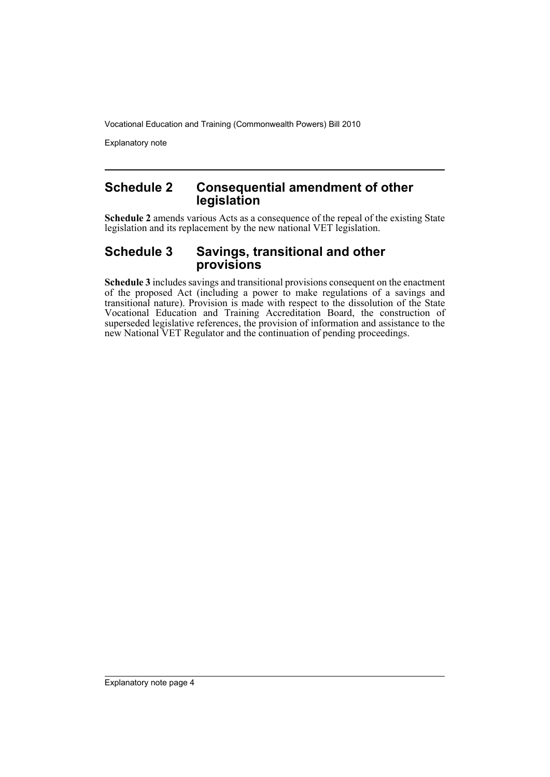Explanatory note

## **Schedule 2 Consequential amendment of other legislation**

**Schedule 2** amends various Acts as a consequence of the repeal of the existing State legislation and its replacement by the new national VET legislation.

### **Schedule 3 Savings, transitional and other provisions**

**Schedule 3** includes savings and transitional provisions consequent on the enactment of the proposed Act (including a power to make regulations of a savings and transitional nature). Provision is made with respect to the dissolution of the State Vocational Education and Training Accreditation Board, the construction of superseded legislative references, the provision of information and assistance to the new National VET Regulator and the continuation of pending proceedings.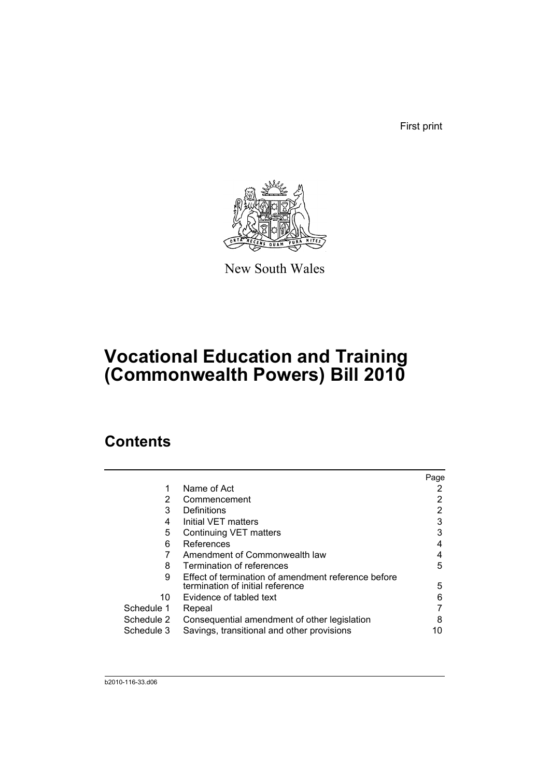First print



New South Wales

# **Vocational Education and Training (Commonwealth Powers) Bill 2010**

## **Contents**

| Page                                                                                                                                                                                                                                                                                                                                                                                                  |
|-------------------------------------------------------------------------------------------------------------------------------------------------------------------------------------------------------------------------------------------------------------------------------------------------------------------------------------------------------------------------------------------------------|
|                                                                                                                                                                                                                                                                                                                                                                                                       |
|                                                                                                                                                                                                                                                                                                                                                                                                       |
|                                                                                                                                                                                                                                                                                                                                                                                                       |
| 3                                                                                                                                                                                                                                                                                                                                                                                                     |
| 3                                                                                                                                                                                                                                                                                                                                                                                                     |
| 4                                                                                                                                                                                                                                                                                                                                                                                                     |
| 4                                                                                                                                                                                                                                                                                                                                                                                                     |
| 5                                                                                                                                                                                                                                                                                                                                                                                                     |
|                                                                                                                                                                                                                                                                                                                                                                                                       |
| 5                                                                                                                                                                                                                                                                                                                                                                                                     |
| 6                                                                                                                                                                                                                                                                                                                                                                                                     |
|                                                                                                                                                                                                                                                                                                                                                                                                       |
| 8                                                                                                                                                                                                                                                                                                                                                                                                     |
| 10                                                                                                                                                                                                                                                                                                                                                                                                    |
| Name of Act<br>Commencement<br>Definitions<br>Initial VET matters<br>Continuing VET matters<br>References<br>Amendment of Commonwealth law<br>Termination of references<br>Effect of termination of amendment reference before<br>termination of initial reference<br>Evidence of tabled text<br>Repeal<br>Consequential amendment of other legislation<br>Savings, transitional and other provisions |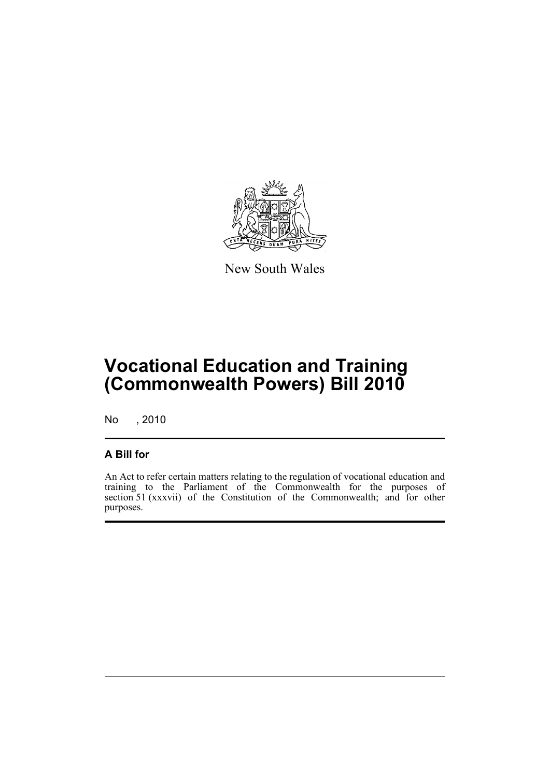

New South Wales

# **Vocational Education and Training (Commonwealth Powers) Bill 2010**

No , 2010

## **A Bill for**

An Act to refer certain matters relating to the regulation of vocational education and training to the Parliament of the Commonwealth for the purposes of section 51 (xxxvii) of the Constitution of the Commonwealth; and for other purposes.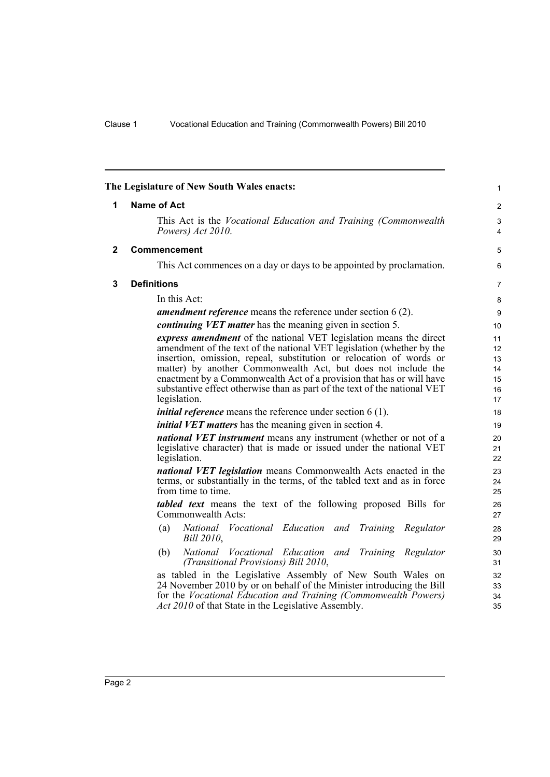<span id="page-7-2"></span><span id="page-7-1"></span><span id="page-7-0"></span>

|                                                                                                                                                                                                                                   | The Legislature of New South Wales enacts:                                                                                                                                                                   | 1                |  |                                                                 |              |    |
|-----------------------------------------------------------------------------------------------------------------------------------------------------------------------------------------------------------------------------------|--------------------------------------------------------------------------------------------------------------------------------------------------------------------------------------------------------------|------------------|--|-----------------------------------------------------------------|--------------|----|
| 1                                                                                                                                                                                                                                 | <b>Name of Act</b>                                                                                                                                                                                           |                  |  |                                                                 |              |    |
|                                                                                                                                                                                                                                   | This Act is the <i>Vocational Education and Training (Commonwealth</i> )<br>Powers) Act 2010.                                                                                                                | 3<br>4           |  |                                                                 |              |    |
| $\mathbf{2}$                                                                                                                                                                                                                      | <b>Commencement</b>                                                                                                                                                                                          | 5                |  |                                                                 |              |    |
|                                                                                                                                                                                                                                   | This Act commences on a day or days to be appointed by proclamation.                                                                                                                                         | 6                |  |                                                                 |              |    |
| 3                                                                                                                                                                                                                                 | <b>Definitions</b>                                                                                                                                                                                           | 7                |  |                                                                 |              |    |
|                                                                                                                                                                                                                                   | In this Act:                                                                                                                                                                                                 | 8                |  |                                                                 |              |    |
|                                                                                                                                                                                                                                   | <i>amendment reference</i> means the reference under section $6(2)$ .                                                                                                                                        | $\boldsymbol{9}$ |  |                                                                 |              |    |
|                                                                                                                                                                                                                                   | <i>continuing VET matter</i> has the meaning given in section 5.                                                                                                                                             | 10               |  |                                                                 |              |    |
|                                                                                                                                                                                                                                   | express amendment of the national VET legislation means the direct                                                                                                                                           | 11               |  |                                                                 |              |    |
|                                                                                                                                                                                                                                   | amendment of the text of the national VET legislation (whether by the                                                                                                                                        | 12<br>13         |  |                                                                 |              |    |
|                                                                                                                                                                                                                                   | insertion, omission, repeal, substitution or relocation of words or<br>matter) by another Commonwealth Act, but does not include the<br>enactment by a Commonwealth Act of a provision that has or will have |                  |  |                                                                 |              |    |
|                                                                                                                                                                                                                                   |                                                                                                                                                                                                              |                  |  |                                                                 |              |    |
|                                                                                                                                                                                                                                   | substantive effect otherwise than as part of the text of the national VET                                                                                                                                    | 15<br>16         |  |                                                                 |              |    |
| legislation.<br><i>initial reference</i> means the reference under section $6(1)$ .<br><i>initial VET matters</i> has the meaning given in section 4.<br><i>national VET instrument</i> means any instrument (whether or not of a |                                                                                                                                                                                                              |                  |  |                                                                 |              |    |
|                                                                                                                                                                                                                                   |                                                                                                                                                                                                              |                  |  |                                                                 | 21           |    |
|                                                                                                                                                                                                                                   |                                                                                                                                                                                                              |                  |  |                                                                 | legislation. | 22 |
|                                                                                                                                                                                                                                   |                                                                                                                                                                                                              |                  |  | national VET legislation means Commonwealth Acts enacted in the |              |    |
| terms, or substantially in the terms, of the tabled text and as in force                                                                                                                                                          |                                                                                                                                                                                                              | 24<br>25         |  |                                                                 |              |    |
| from time to time.<br>tabled text means the text of the following proposed Bills for                                                                                                                                              |                                                                                                                                                                                                              |                  |  |                                                                 |              |    |
|                                                                                                                                                                                                                                   |                                                                                                                                                                                                              |                  |  | Commonwealth Acts:                                              |              |    |
|                                                                                                                                                                                                                                   | National Vocational Education and<br>Training Regulator<br>(a)                                                                                                                                               | 28               |  |                                                                 |              |    |
|                                                                                                                                                                                                                                   | Bill 2010,                                                                                                                                                                                                   | 29               |  |                                                                 |              |    |
|                                                                                                                                                                                                                                   | National Vocational Education and Training Regulator<br>(b)                                                                                                                                                  | 30               |  |                                                                 |              |    |
|                                                                                                                                                                                                                                   | (Transitional Provisions) Bill 2010,                                                                                                                                                                         | 31               |  |                                                                 |              |    |
|                                                                                                                                                                                                                                   | as tabled in the Legislative Assembly of New South Wales on                                                                                                                                                  | 32               |  |                                                                 |              |    |
|                                                                                                                                                                                                                                   | 24 November 2010 by or on behalf of the Minister introducing the Bill<br>for the Vocational Education and Training (Commonwealth Powers)                                                                     | 33<br>34         |  |                                                                 |              |    |
|                                                                                                                                                                                                                                   | Act 2010 of that State in the Legislative Assembly.                                                                                                                                                          | 35               |  |                                                                 |              |    |
|                                                                                                                                                                                                                                   |                                                                                                                                                                                                              |                  |  |                                                                 |              |    |
|                                                                                                                                                                                                                                   |                                                                                                                                                                                                              |                  |  |                                                                 |              |    |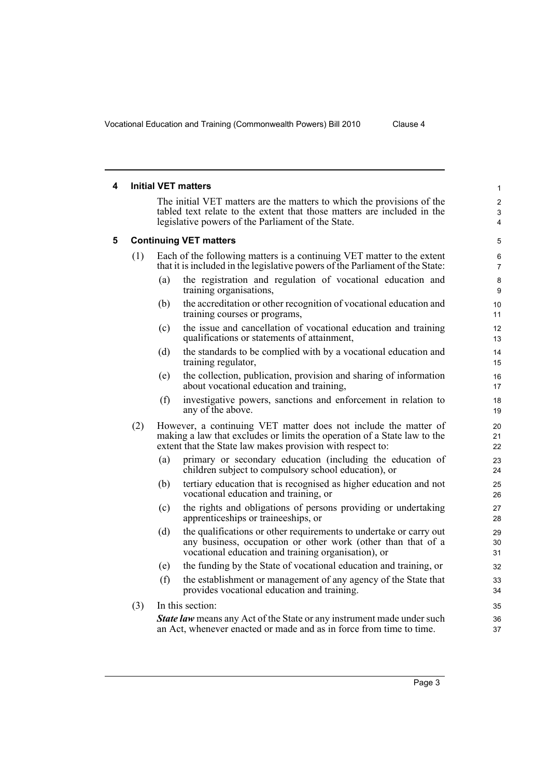<span id="page-8-1"></span><span id="page-8-0"></span> $\overline{\phantom{0}}$ 

|     | <b>Initial VET matters</b>                                                                                                                                                                                | 1                        |
|-----|-----------------------------------------------------------------------------------------------------------------------------------------------------------------------------------------------------------|--------------------------|
|     | The initial VET matters are the matters to which the provisions of the<br>tabled text relate to the extent that those matters are included in the<br>legislative powers of the Parliament of the State.   | $\overline{2}$<br>3<br>4 |
|     | <b>Continuing VET matters</b>                                                                                                                                                                             | 5                        |
| (1) | Each of the following matters is a continuing VET matter to the extent<br>that it is included in the legislative powers of the Parliament of the State:                                                   | 6<br>$\overline{7}$      |
|     | the registration and regulation of vocational education and<br>(a)<br>training organisations,                                                                                                             | 8<br>9                   |
|     | the accreditation or other recognition of vocational education and<br>(b)<br>training courses or programs,                                                                                                | 10<br>11                 |
|     | the issue and cancellation of vocational education and training<br>(c)<br>qualifications or statements of attainment,                                                                                     | 12<br>13                 |
|     | the standards to be complied with by a vocational education and<br>(d)<br>training regulator,                                                                                                             | 14<br>15                 |
|     | the collection, publication, provision and sharing of information<br>(e)<br>about vocational education and training,                                                                                      | 16<br>17                 |
|     | (f)<br>investigative powers, sanctions and enforcement in relation to<br>any of the above.                                                                                                                | 18<br>19                 |
| (2) | However, a continuing VET matter does not include the matter of<br>making a law that excludes or limits the operation of a State law to the<br>extent that the State law makes provision with respect to: | 20<br>21<br>22           |
|     | primary or secondary education (including the education of<br>(a)<br>children subject to compulsory school education), or                                                                                 | 23<br>24                 |
|     | tertiary education that is recognised as higher education and not<br>(b)<br>vocational education and training, or                                                                                         | 25<br>26                 |
|     | the rights and obligations of persons providing or undertaking<br>(c)<br>apprenticeships or traineeships, or                                                                                              | 27<br>28                 |
|     | the qualifications or other requirements to undertake or carry out<br>(d)<br>any business, occupation or other work (other than that of a<br>vocational education and training organisation), or          | 29<br>30<br>31           |
|     | the funding by the State of vocational education and training, or<br>(e)                                                                                                                                  | 32                       |
|     | (f)<br>the establishment or management of any agency of the State that<br>provides vocational education and training.                                                                                     | 33<br>34                 |
| (3) | In this section:                                                                                                                                                                                          | 35                       |
|     | <b>State law</b> means any Act of the State or any instrument made under such<br>an Act, whenever enacted or made and as in force from time to time.                                                      | 36<br>37                 |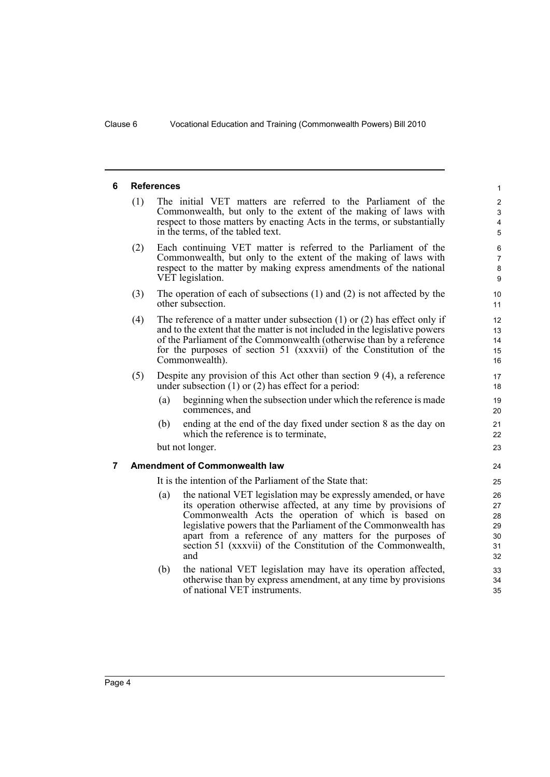#### <span id="page-9-0"></span>**6 References**

(1) The initial VET matters are referred to the Parliament of the Commonwealth, but only to the extent of the making of laws with respect to those matters by enacting Acts in the terms, or substantially in the terms, of the tabled text.

- (2) Each continuing VET matter is referred to the Parliament of the Commonwealth, but only to the extent of the making of laws with respect to the matter by making express amendments of the national VET legislation.
- (3) The operation of each of subsections (1) and (2) is not affected by the other subsection.
- (4) The reference of a matter under subsection (1) or (2) has effect only if and to the extent that the matter is not included in the legislative powers of the Parliament of the Commonwealth (otherwise than by a reference for the purposes of section 51 (xxxvii) of the Constitution of the Commonwealth).
- (5) Despite any provision of this Act other than section 9 (4), a reference under subsection (1) or (2) has effect for a period:
	- (a) beginning when the subsection under which the reference is made commences, and
	- (b) ending at the end of the day fixed under section 8 as the day on which the reference is to terminate,

but not longer.

#### <span id="page-9-1"></span>**7 Amendment of Commonwealth law**

It is the intention of the Parliament of the State that:

- (a) the national VET legislation may be expressly amended, or have its operation otherwise affected, at any time by provisions of Commonwealth Acts the operation of which is based on legislative powers that the Parliament of the Commonwealth has apart from a reference of any matters for the purposes of section 51 (xxxvii) of the Constitution of the Commonwealth, and
- (b) the national VET legislation may have its operation affected, otherwise than by express amendment, at any time by provisions of national VET instruments.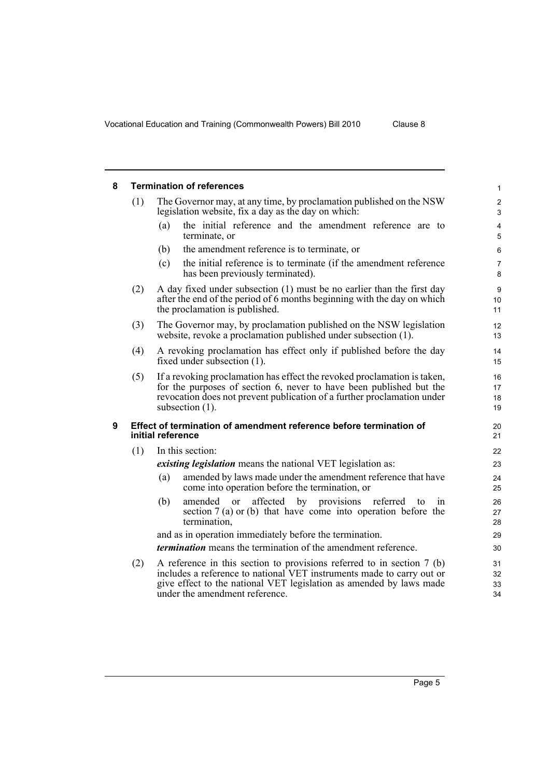<span id="page-10-1"></span>under the amendment reference.

<span id="page-10-0"></span>

| 8   |     | <b>Termination of references</b>                                                                                                                                                                                                                 | $\mathbf{1}$                 |  |  |
|-----|-----|--------------------------------------------------------------------------------------------------------------------------------------------------------------------------------------------------------------------------------------------------|------------------------------|--|--|
|     | (1) | The Governor may, at any time, by proclamation published on the NSW<br>legislation website, fix a day as the day on which:                                                                                                                       | $\overline{2}$<br>3          |  |  |
|     |     | the initial reference and the amendment reference are to<br>(a)<br>terminate, or                                                                                                                                                                 | $\overline{4}$<br>$\sqrt{5}$ |  |  |
|     |     | the amendment reference is to terminate, or<br>(b)                                                                                                                                                                                               | 6                            |  |  |
|     |     | the initial reference is to terminate (if the amendment reference<br>(c)<br>has been previously terminated).                                                                                                                                     | $\overline{7}$<br>8          |  |  |
|     | (2) | A day fixed under subsection (1) must be no earlier than the first day<br>after the end of the period of 6 months beginning with the day on which<br>the proclamation is published.                                                              |                              |  |  |
|     | (3) | The Governor may, by proclamation published on the NSW legislation<br>website, revoke a proclamation published under subsection (1).                                                                                                             | 12<br>13                     |  |  |
|     | (4) | A revoking proclamation has effect only if published before the day<br>fixed under subsection $(1)$ .                                                                                                                                            |                              |  |  |
|     | (5) | If a revoking proclamation has effect the revoked proclamation is taken,<br>for the purposes of section 6, never to have been published but the<br>revocation does not prevent publication of a further proclamation under<br>subsection $(1)$ . | 16<br>17<br>18<br>19         |  |  |
| 9   |     | Effect of termination of amendment reference before termination of<br>initial reference                                                                                                                                                          | 20<br>21                     |  |  |
|     | (1) | In this section:                                                                                                                                                                                                                                 | 22                           |  |  |
|     |     | <i>existing legislation</i> means the national VET legislation as:                                                                                                                                                                               | 23                           |  |  |
|     |     | amended by laws made under the amendment reference that have<br>(a)<br>come into operation before the termination, or                                                                                                                            | 24<br>25                     |  |  |
|     |     | (b)<br>affected by provisions referred<br>amended or<br>to<br>1n<br>section $7(a)$ or (b) that have come into operation before the<br>termination,                                                                                               | 26<br>27<br>28               |  |  |
|     |     | and as in operation immediately before the termination.                                                                                                                                                                                          | 29                           |  |  |
|     |     | <i>termination</i> means the termination of the amendment reference.                                                                                                                                                                             | 30                           |  |  |
| (2) |     | A reference in this section to provisions referred to in section $7$ (b)<br>includes a reference to national VET instruments made to carry out or<br>give effect to the national VET legislation as amended by laws made                         | 31<br>32<br>33               |  |  |

34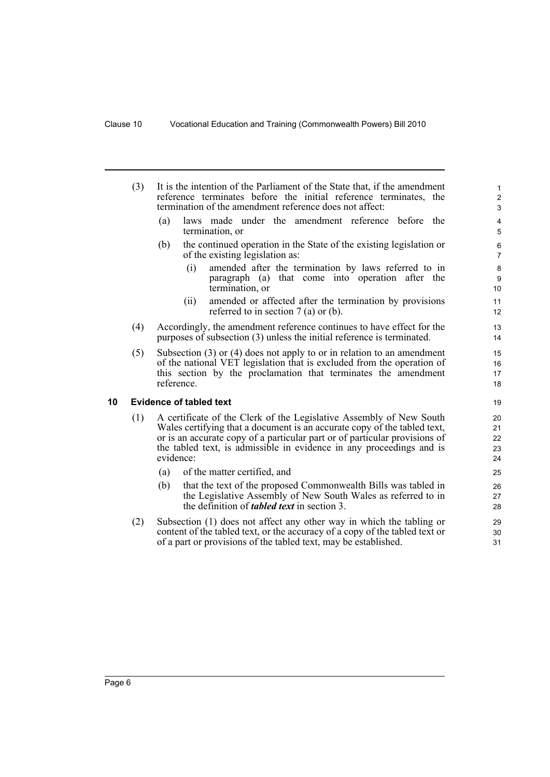- (3) It is the intention of the Parliament of the State that, if the amendment reference terminates before the initial reference terminates, the termination of the amendment reference does not affect:
	- (a) laws made under the amendment reference before the termination, or
	- (b) the continued operation in the State of the existing legislation or of the existing legislation as:
		- (i) amended after the termination by laws referred to in paragraph (a) that come into operation after the termination, or
		- (ii) amended or affected after the termination by provisions referred to in section 7 (a) or (b).
- (4) Accordingly, the amendment reference continues to have effect for the purposes of subsection (3) unless the initial reference is terminated.
- (5) Subsection (3) or (4) does not apply to or in relation to an amendment of the national VET legislation that is excluded from the operation of this section by the proclamation that terminates the amendment reference.

#### <span id="page-11-0"></span>**10 Evidence of tabled text**

- (1) A certificate of the Clerk of the Legislative Assembly of New South Wales certifying that a document is an accurate copy of the tabled text, or is an accurate copy of a particular part or of particular provisions of the tabled text, is admissible in evidence in any proceedings and is evidence:
	- (a) of the matter certified, and
	- (b) that the text of the proposed Commonwealth Bills was tabled in the Legislative Assembly of New South Wales as referred to in the definition of *tabled text* in section 3.
- (2) Subsection (1) does not affect any other way in which the tabling or content of the tabled text, or the accuracy of a copy of the tabled text or of a part or provisions of the tabled text, may be established.

> 30 31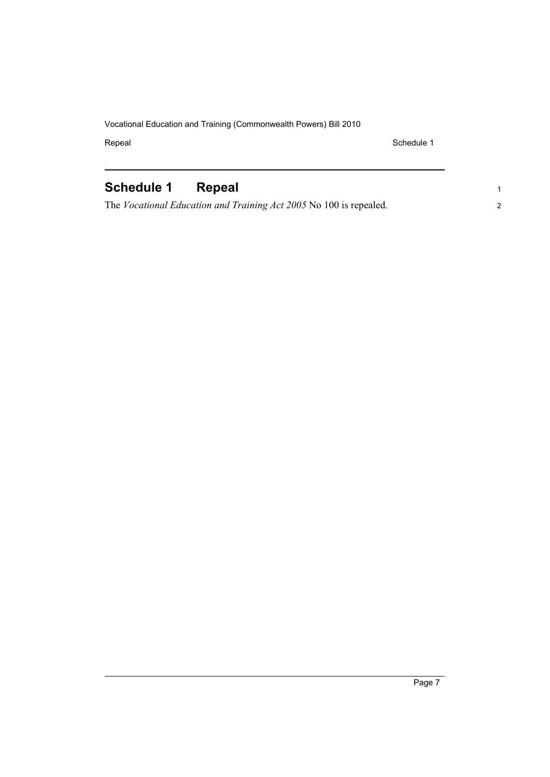Repeal Schedule 1

1 2

## <span id="page-12-0"></span>**Schedule 1 Repeal**

The *Vocational Education and Training Act 2005* No 100 is repealed.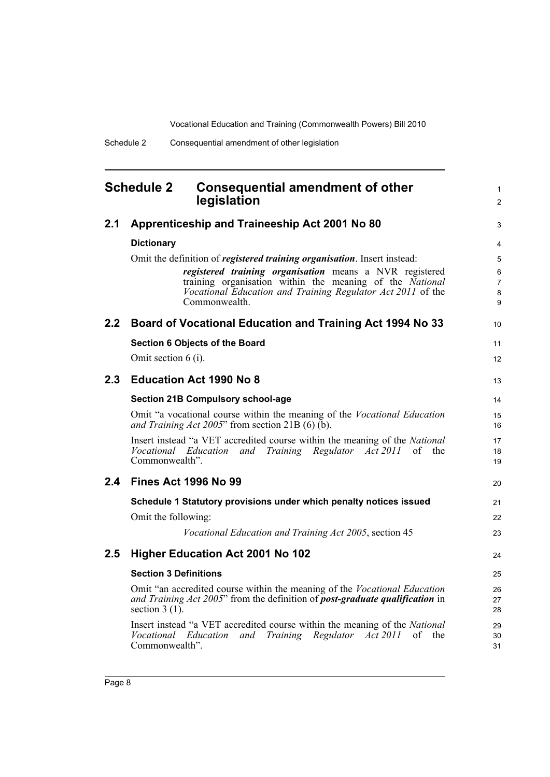1  $\mathfrak{p}$ 

3

31

#### <span id="page-13-0"></span>**Schedule 2 Consequential amendment of other legislation 2.1 Apprenticeship and Traineeship Act 2001 No 80 Dictionary** Omit the definition of *registered training organisation*. Insert instead: *registered training organisation* means a NVR registered training organisation within the meaning of the *National Vocational Education and Training Regulator Act 2011* of the Commonwealth. **2.2 Board of Vocational Education and Training Act 1994 No 33 Section 6 Objects of the Board** Omit section 6 (i). **2.3 Education Act 1990 No 8 Section 21B Compulsory school-age** Omit "a vocational course within the meaning of the *Vocational Education and Training Act 2005*" from section 21B (6) (b). Insert instead "a VET accredited course within the meaning of the *National Vocational Education and Training Regulator Act 2011* of the Commonwealth". **2.4 Fines Act 1996 No 99 Schedule 1 Statutory provisions under which penalty notices issued** Omit the following: *Vocational Education and Training Act 2005*, section 45 **2.5 Higher Education Act 2001 No 102 Section 3 Definitions** Omit "an accredited course within the meaning of the *Vocational Education and Training Act 2005*" from the definition of *post-graduate qualification* in section 3 (1). Insert instead "a VET accredited course within the meaning of the *National Vocational Education and Training Regulator Act 2011* of the 10 11 12 13 14 15 16 17 18 19  $20$ 21 22 23 24 25 26 27 28  $29$ 30

Commonwealth".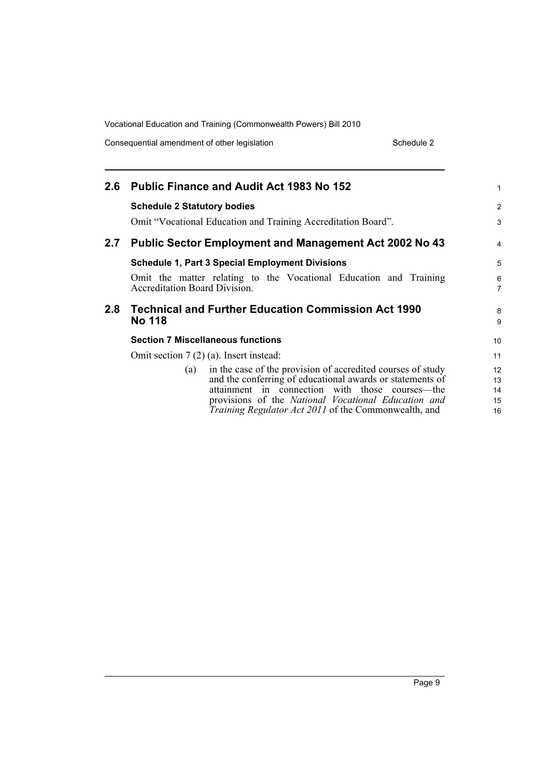Consequential amendment of other legislation Schedule 2 Schedule 2

| $2.6\phantom{0}$ | <b>Public Finance and Audit Act 1983 No 152</b>                                                           | 1                   |
|------------------|-----------------------------------------------------------------------------------------------------------|---------------------|
|                  | <b>Schedule 2 Statutory bodies</b>                                                                        | $\overline{2}$      |
|                  | Omit "Vocational Education and Training Accreditation Board".                                             | 3                   |
| 2.7              | <b>Public Sector Employment and Management Act 2002 No 43</b>                                             | 4                   |
|                  | <b>Schedule 1, Part 3 Special Employment Divisions</b>                                                    | 5                   |
|                  | Omit the matter relating to the Vocational Education and Training<br><b>Accreditation Board Division.</b> | 6<br>$\overline{7}$ |
|                  |                                                                                                           |                     |
| 2.8              | <b>Technical and Further Education Commission Act 1990</b><br><b>No 118</b>                               | 8<br>9              |
|                  | <b>Section 7 Miscellaneous functions</b>                                                                  | 10 <sup>°</sup>     |
|                  | Omit section $7(2)(a)$ . Insert instead:                                                                  | 11                  |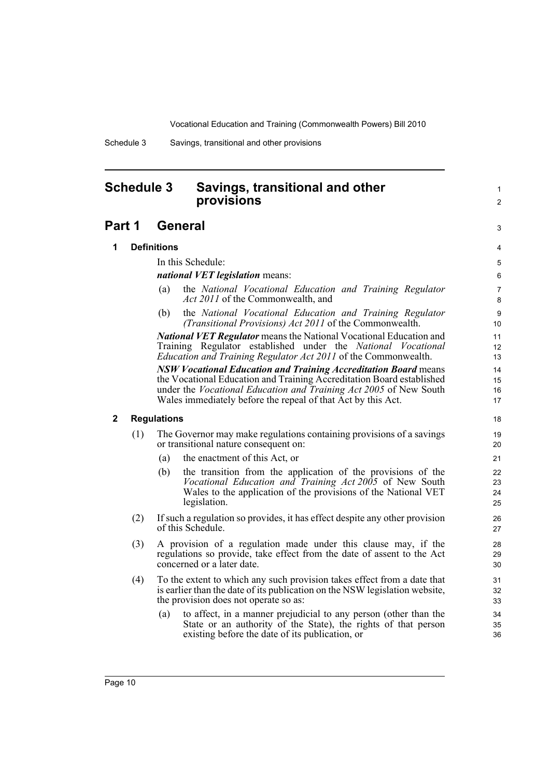1  $\mathfrak{p}$ 

3

Schedule 3 Savings, transitional and other provisions

### <span id="page-15-0"></span>**Schedule 3 Savings, transitional and other provisions**

### **Part 1 General**

#### **1 Definitions**

In this Schedule:

#### *national VET legislation* means:

- (a) the *National Vocational Education and Training Regulator Act 2011* of the Commonwealth, and
- (b) the *National Vocational Education and Training Regulator (Transitional Provisions) Act 2011* of the Commonwealth.

*National VET Regulator* means the National Vocational Education and Training Regulator established under the *National Vocational Education and Training Regulator Act 2011* of the Commonwealth.

*NSW Vocational Education and Training Accreditation Board* means the Vocational Education and Training Accreditation Board established under the *Vocational Education and Training Act 2005* of New South Wales immediately before the repeal of that Act by this Act.

#### **2 Regulations**

- (1) The Governor may make regulations containing provisions of a savings or transitional nature consequent on:
	- (a) the enactment of this Act, or
	- (b) the transition from the application of the provisions of the *Vocational Education and Training Act 2005* of New South Wales to the application of the provisions of the National VET legislation.
- (2) If such a regulation so provides, it has effect despite any other provision of this Schedule.
- (3) A provision of a regulation made under this clause may, if the regulations so provide, take effect from the date of assent to the Act concerned or a later date.
- (4) To the extent to which any such provision takes effect from a date that is earlier than the date of its publication on the NSW legislation website, the provision does not operate so as:
	- (a) to affect, in a manner prejudicial to any person (other than the State or an authority of the State), the rights of that person existing before the date of its publication, or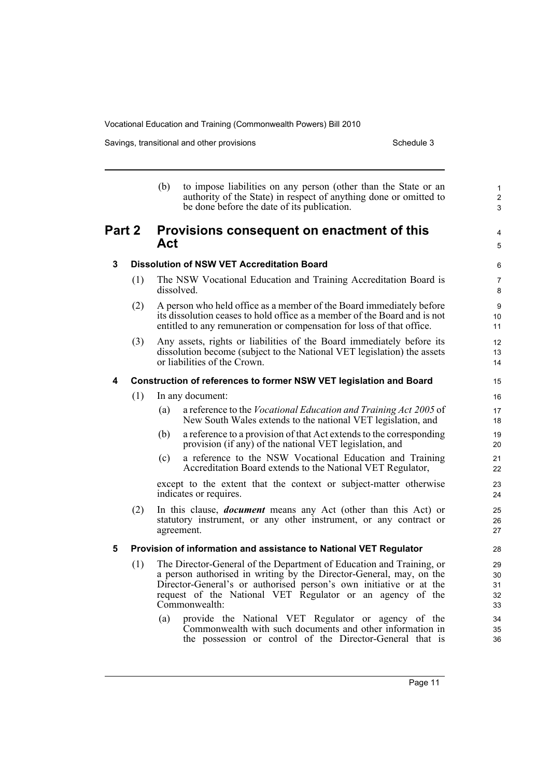Savings, transitional and other provisions Schedule 3 Schedule 3

|        |                                                                    | (b)                                               | to impose liabilities on any person (other than the State or an<br>authority of the State) in respect of anything done or omitted to<br>be done before the date of its publication.                                                                                                             | $\mathbf{1}$<br>$\overline{2}$<br>3 |
|--------|--------------------------------------------------------------------|---------------------------------------------------|-------------------------------------------------------------------------------------------------------------------------------------------------------------------------------------------------------------------------------------------------------------------------------------------------|-------------------------------------|
| Part 2 |                                                                    | Provisions consequent on enactment of this<br>Act |                                                                                                                                                                                                                                                                                                 | 4<br>5                              |
| 3      |                                                                    | <b>Dissolution of NSW VET Accreditation Board</b> | 6                                                                                                                                                                                                                                                                                               |                                     |
|        | (1)                                                                |                                                   | The NSW Vocational Education and Training Accreditation Board is<br>dissolved.                                                                                                                                                                                                                  | $\overline{7}$<br>8                 |
|        | (2)                                                                |                                                   | A person who held office as a member of the Board immediately before<br>its dissolution ceases to hold office as a member of the Board and is not<br>entitled to any remuneration or compensation for loss of that office.                                                                      | 9<br>10<br>11                       |
|        | (3)                                                                |                                                   | Any assets, rights or liabilities of the Board immediately before its<br>dissolution become (subject to the National VET legislation) the assets<br>or liabilities of the Crown.                                                                                                                | 12<br>13<br>14                      |
| 4      | Construction of references to former NSW VET legislation and Board |                                                   |                                                                                                                                                                                                                                                                                                 |                                     |
|        | (1)                                                                |                                                   | In any document:                                                                                                                                                                                                                                                                                | 16                                  |
|        |                                                                    | (a)                                               | a reference to the <i>Vocational Education and Training Act 2005</i> of<br>New South Wales extends to the national VET legislation, and                                                                                                                                                         | 17<br>18                            |
|        |                                                                    | (b)                                               | a reference to a provision of that Act extends to the corresponding<br>provision (if any) of the national VET legislation, and                                                                                                                                                                  | 19<br>20                            |
|        |                                                                    | (c)                                               | a reference to the NSW Vocational Education and Training<br>Accreditation Board extends to the National VET Regulator,                                                                                                                                                                          | 21<br>22                            |
|        |                                                                    |                                                   | except to the extent that the context or subject-matter otherwise<br>indicates or requires.                                                                                                                                                                                                     | 23<br>24                            |
|        | (2)                                                                |                                                   | In this clause, <i>document</i> means any Act (other than this Act) or<br>statutory instrument, or any other instrument, or any contract or<br>agreement.                                                                                                                                       | 25<br>26<br>27                      |
| 5      |                                                                    |                                                   | Provision of information and assistance to National VET Regulator                                                                                                                                                                                                                               | 28                                  |
|        | (1)                                                                |                                                   | The Director-General of the Department of Education and Training, or<br>a person authorised in writing by the Director-General, may, on the<br>Director-General's or authorised person's own initiative or at the<br>request of the National VET Regulator or an agency of the<br>Commonwealth: | 29<br>30<br>31<br>32<br>33          |
|        |                                                                    | (a)                                               | provide the National VET Regulator or agency of the<br>Commonwealth with such documents and other information in<br>the possession or control of the Director-General that is                                                                                                                   | 34<br>35<br>36                      |